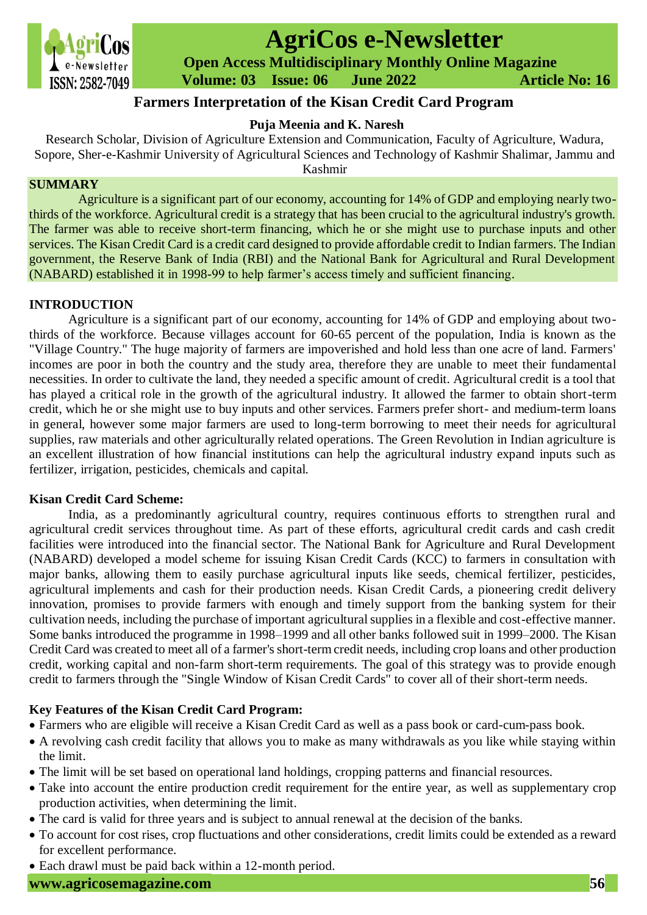

# **AgriCos e-Newsletter**

 **Open Access Multidisciplinary Monthly Online Magazine**

 **Volume: 03 Issue: 06 June 2022 Article No: 16**

# **Farmers Interpretation of the Kisan Credit Card Program**

# **Puja Meenia and K. Naresh**

Research Scholar, Division of Agriculture Extension and Communication, Faculty of Agriculture, Wadura, Sopore, Sher-e-Kashmir University of Agricultural Sciences and Technology of Kashmir Shalimar, Jammu and Kashmir

# **SUMMARY**

Agriculture is a significant part of our economy, accounting for 14% of GDP and employing nearly twothirds of the workforce. Agricultural credit is a strategy that has been crucial to the agricultural industry's growth. The farmer was able to receive short-term financing, which he or she might use to purchase inputs and other services. The Kisan Credit Card is a credit card designed to provide affordable credit to Indian farmers. The Indian government, the Reserve Bank of India (RBI) and the National Bank for Agricultural and Rural Development (NABARD) established it in 1998-99 to help farmer's access timely and sufficient financing.

#### **INTRODUCTION**

Agriculture is a significant part of our economy, accounting for 14% of GDP and employing about twothirds of the workforce. Because villages account for 60-65 percent of the population, India is known as the "Village Country." The huge majority of farmers are impoverished and hold less than one acre of land. Farmers' incomes are poor in both the country and the study area, therefore they are unable to meet their fundamental necessities. In order to cultivate the land, they needed a specific amount of credit. Agricultural credit is a tool that has played a critical role in the growth of the agricultural industry. It allowed the farmer to obtain short-term credit, which he or she might use to buy inputs and other services. Farmers prefer short- and medium-term loans in general, however some major farmers are used to long-term borrowing to meet their needs for agricultural supplies, raw materials and other agriculturally related operations. The Green Revolution in Indian agriculture is an excellent illustration of how financial institutions can help the agricultural industry expand inputs such as fertilizer, irrigation, pesticides, chemicals and capital.

## **Kisan Credit Card Scheme:**

India, as a predominantly agricultural country, requires continuous efforts to strengthen rural and agricultural credit services throughout time. As part of these efforts, agricultural credit cards and cash credit facilities were introduced into the financial sector. The National Bank for Agriculture and Rural Development (NABARD) developed a model scheme for issuing Kisan Credit Cards (KCC) to farmers in consultation with major banks, allowing them to easily purchase agricultural inputs like seeds, chemical fertilizer, pesticides, agricultural implements and cash for their production needs. Kisan Credit Cards, a pioneering credit delivery innovation, promises to provide farmers with enough and timely support from the banking system for their cultivation needs, including the purchase of important agricultural supplies in a flexible and cost-effective manner. Some banks introduced the programme in 1998–1999 and all other banks followed suit in 1999–2000. The Kisan Credit Card was created to meet all of a farmer's short-term credit needs, including crop loans and other production credit, working capital and non-farm short-term requirements. The goal of this strategy was to provide enough credit to farmers through the "Single Window of Kisan Credit Cards" to cover all of their short-term needs.

## **Key Features of the Kisan Credit Card Program:**

- Farmers who are eligible will receive a Kisan Credit Card as well as a pass book or card-cum-pass book.
- A revolving cash credit facility that allows you to make as many withdrawals as you like while staying within the limit.
- The limit will be set based on operational land holdings, cropping patterns and financial resources.
- Take into account the entire production credit requirement for the entire year, as well as supplementary crop production activities, when determining the limit.
- The card is valid for three years and is subject to annual renewal at the decision of the banks.
- To account for cost rises, crop fluctuations and other considerations, credit limits could be extended as a reward for excellent performance.
- Each drawl must be paid back within a 12-month period.

### **[www.agricosemagazine.com](http://www.agricosemagazine.com/) 56**